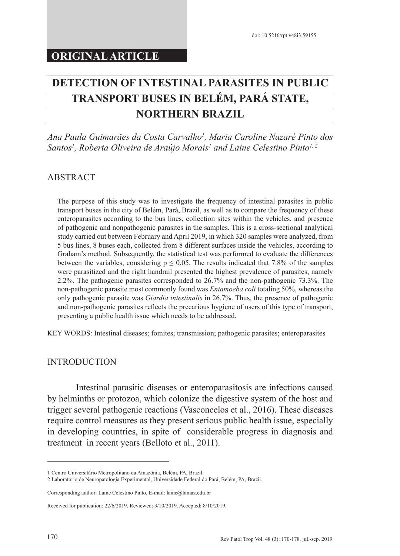# **DETECTION OF INTESTINAL PARASITES IN PUBLIC TRANSPORT BUSES IN BELÉM, PARÁ STATE, NORTHERN BRAZIL**

*Ana Paula Guimarães da Costa Carvalho1 , Maria Caroline Nazaré Pinto dos*  Santos<sup>1</sup>, Roberta Oliveira de Araújo Morais<sup>1</sup> and Laine Celestino Pinto<sup>1, 2</sup>

# ABSTRACT

The purpose of this study was to investigate the frequency of intestinal parasites in public transport buses in the city of Belém, Pará, Brazil, as well as to compare the frequency of these enteroparasites according to the bus lines, collection sites within the vehicles, and presence of pathogenic and nonpathogenic parasites in the samples. This is a cross-sectional analytical study carried out between February and April 2019, in which 320 samples were analyzed, from 5 bus lines, 8 buses each, collected from 8 different surfaces inside the vehicles, according to Graham's method. Subsequently, the statistical test was performed to evaluate the differences between the variables, considering  $p \le 0.05$ . The results indicated that 7.8% of the samples were parasitized and the right handrail presented the highest prevalence of parasites, namely 2.2%. The pathogenic parasites corresponded to 26.7% and the non-pathogenic 73.3%. The non-pathogenic parasite most commonly found was *Entamoeba coli* totaling 50%, whereas the only pathogenic parasite was *Giardia intestinalis* in 26.7%. Thus, the presence of pathogenic and non-pathogenic parasites reflects the precarious hygiene of users of this type of transport, presenting a public health issue which needs to be addressed.

KEY WORDS: Intestinal diseases; fomites; transmission; pathogenic parasites; enteroparasites

## **INTRODUCTION**

Intestinal parasitic diseases or enteroparasitosis are infections caused by helminths or protozoa, which colonize the digestive system of the host and trigger several pathogenic reactions (Vasconcelos et al., 2016). These diseases require control measures as they present serious public health issue, especially in developing countries, in spite of considerable progress in diagnosis and treatment in recent years (Belloto et al., 2011).

<sup>1</sup> Centro Universitário Metropolitano da Amazônia, Belém, PA, Brazil.

<sup>2</sup> Laboratório de Neuropatologia Experimental, Universidade Federal do Pará, Belém, PA, Brazil.

Corresponding author: Laine Celestino Pinto, E-mail: laine@famaz.edu.br

Received for publication: 22/6/2019. Reviewed: 3/10/2019. Accepted: 8/10/2019.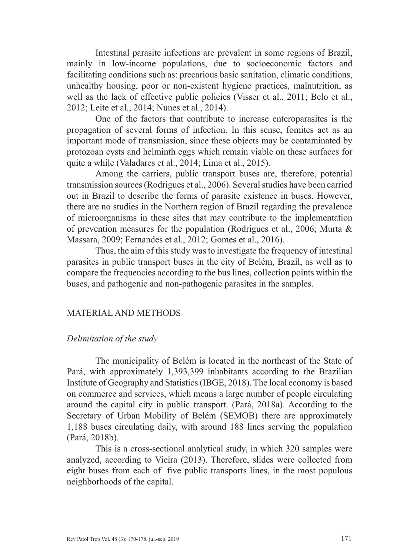Intestinal parasite infections are prevalent in some regions of Brazil, mainly in low-income populations, due to socioeconomic factors and facilitating conditions such as: precarious basic sanitation, climatic conditions, unhealthy housing, poor or non-existent hygiene practices, malnutrition, as well as the lack of effective public policies (Visser et al., 2011; Belo et al., 2012; Leite et al., 2014; Nunes et al., 2014).

One of the factors that contribute to increase enteroparasites is the propagation of several forms of infection. In this sense, fomites act as an important mode of transmission, since these objects may be contaminated by protozoan cysts and helminth eggs which remain viable on these surfaces for quite a while (Valadares et al., 2014; Lima et al., 2015).

Among the carriers, public transport buses are, therefore, potential transmission sources (Rodrigues et al., 2006). Several studies have been carried out in Brazil to describe the forms of parasite existence in buses. However, there are no studies in the Northern region of Brazil regarding the prevalence of microorganisms in these sites that may contribute to the implementation of prevention measures for the population (Rodrigues et al., 2006; Murta & Massara, 2009; Fernandes et al., 2012; Gomes et al., 2016).

Thus, the aim of this study was to investigate the frequency of intestinal parasites in public transport buses in the city of Belém, Brazil, as well as to compare the frequencies according to the bus lines, collection points within the buses, and pathogenic and non-pathogenic parasites in the samples.

## MATERIAL AND METHODS

# *Delimitation of the study*

The municipality of Belém is located in the northeast of the State of Pará, with approximately 1,393,399 inhabitants according to the Brazilian Institute of Geography and Statistics (IBGE, 2018). The local economy is based on commerce and services, which means a large number of people circulating around the capital city in public transport. (Pará, 2018a). According to the Secretary of Urban Mobility of Belém (SEMOB) there are approximately 1,188 buses circulating daily, with around 188 lines serving the population (Pará, 2018b).

This is a cross-sectional analytical study, in which 320 samples were analyzed, according to Vieira (2013). Therefore, slides were collected from eight buses from each of five public transports lines, in the most populous neighborhoods of the capital.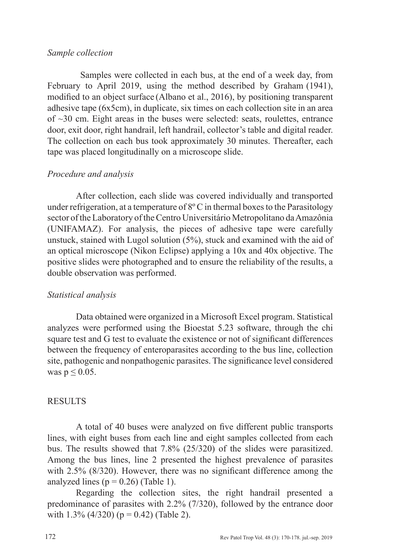## *Sample collection*

Samples were collected in each bus, at the end of a week day, from February to April 2019, using the method described by Graham (1941), modified to an object surface (Albano et al., 2016), by positioning transparent adhesive tape (6x5cm), in duplicate, six times on each collection site in an area of ~30 cm. Eight areas in the buses were selected: seats, roulettes, entrance door, exit door, right handrail, left handrail, collector's table and digital reader. The collection on each bus took approximately 30 minutes. Thereafter, each tape was placed longitudinally on a microscope slide.

### *Procedure and analysis*

After collection, each slide was covered individually and transported under refrigeration, at a temperature of  $8^{\circ}$  C in thermal boxes to the Parasitology sector of the Laboratory of the Centro Universitário Metropolitano da Amazônia (UNIFAMAZ). For analysis, the pieces of adhesive tape were carefully unstuck, stained with Lugol solution (5%), stuck and examined with the aid of an optical microscope (Nikon Eclipse) applying a 10x and 40x objective. The positive slides were photographed and to ensure the reliability of the results, a double observation was performed.

#### *Statistical analysis*

Data obtained were organized in a Microsoft Excel program. Statistical analyzes were performed using the Bioestat 5.23 software, through the chi square test and G test to evaluate the existence or not of significant differences between the frequency of enteroparasites according to the bus line, collection site, pathogenic and nonpathogenic parasites. The significance level considered was  $p \leq 0.05$ .

#### **RESULTS**

A total of 40 buses were analyzed on five different public transports lines, with eight buses from each line and eight samples collected from each bus. The results showed that 7.8% (25/320) of the slides were parasitized. Among the bus lines, line 2 presented the highest prevalence of parasites with 2.5% (8/320). However, there was no significant difference among the analyzed lines ( $p = 0.26$ ) (Table 1).

Regarding the collection sites, the right handrail presented a predominance of parasites with 2.2% (7/320), followed by the entrance door with  $1.3\%$  (4/320) (p = 0.42) (Table 2).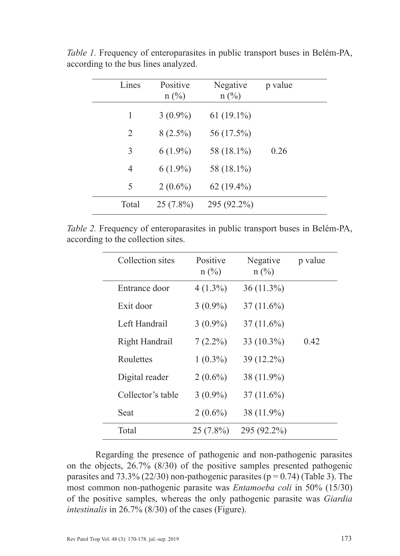| Lines | Positive<br>$n$ (%) | Negative<br>$n$ (%) | p value |
|-------|---------------------|---------------------|---------|
| 1     | $3(0.9\%)$          | $61(19.1\%)$        |         |
| 2     | $8(2.5\%)$          | 56 (17.5%)          |         |
| 3     | $6(1.9\%)$          | 58 (18.1%)          | 0.26    |
| 4     | $6(1.9\%)$          | 58 (18.1%)          |         |
| 5     | $2(0.6\%)$          | $62(19.4\%)$        |         |
| Total | $25(7.8\%)$         | 295 (92.2%)         |         |

*Table 1.* Frequency of enteroparasites in public transport buses in Belém-PA, according to the bus lines analyzed.

*Table 2.* Frequency of enteroparasites in public transport buses in Belém-PA, according to the collection sites.

| Collection sites  | Positive<br>$n$ (%) | Negative<br>$n$ (%) | p value |
|-------------------|---------------------|---------------------|---------|
| Entrance door     | $4(1.3\%)$          | $36(11.3\%)$        |         |
| Exit door         | $3(0.9\%)$          | $37(11.6\%)$        |         |
| Left Handrail     | $3(0.9\%)$          | $37(11.6\%)$        |         |
| Right Handrail    | $7(2.2\%)$          | 33 (10.3%)          | 0.42    |
| Roulettes         | $1(0.3\%)$          | 39 (12.2%)          |         |
| Digital reader    | $2(0.6\%)$          | 38 (11.9%)          |         |
| Collector's table | $3(0.9\%)$          | $37(11.6\%)$        |         |
| Seat              | $2(0.6\%)$          | 38 (11.9%)          |         |
| Total             | $25(7.8\%)$         | 295 (92.2%)         |         |

Regarding the presence of pathogenic and non-pathogenic parasites on the objects, 26.7% (8/30) of the positive samples presented pathogenic parasites and  $73.3\%$  (22/30) non-pathogenic parasites (p = 0.74) (Table 3). The most common non-pathogenic parasite was *Entamoeba coli* in 50% (15/30) of the positive samples, whereas the only pathogenic parasite was *Giardia intestinalis* in 26.7% (8/30) of the cases (Figure).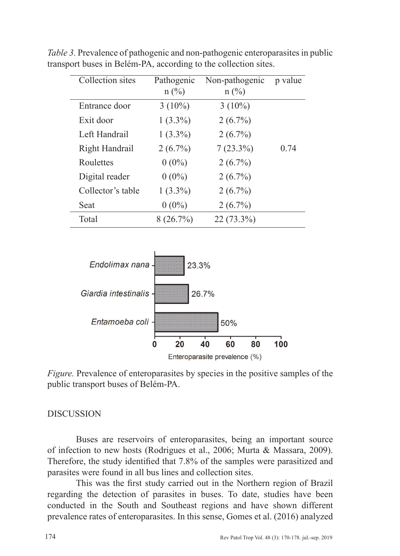| Collection sites  | Pathogenic<br>$n$ (%) | Non-pathogenic<br>$n$ (%) | p value |
|-------------------|-----------------------|---------------------------|---------|
| Entrance door     | $3(10\%)$             | $3(10\%)$                 |         |
| Exit door         | $1(3.3\%)$            | $2(6.7\%)$                |         |
| Left Handrail     | $1(3.3\%)$            | $2(6.7\%)$                |         |
| Right Handrail    | $2(6.7\%)$            | $7(23.3\%)$               | 0.74    |
| Roulettes         | $0(0\%)$              | $2(6.7\%)$                |         |
| Digital reader    | $0(0\%)$              | $2(6.7\%)$                |         |
| Collector's table | $1(3.3\%)$            | $2(6.7\%)$                |         |
| Seat              | $0(0\%)$              | $2(6.7\%)$                |         |
| Total             | 8(26.7%)              | 22 (73.3%)                |         |

*Table 3.* Prevalence of pathogenic and non-pathogenic enteroparasites in public transport buses in Belém-PA, according to the collection sites.



*Figure.* Prevalence of enteroparasites by species in the positive samples of the public transport buses of Belém-PA.

## DISCUSSION

Buses are reservoirs of enteroparasites, being an important source of infection to new hosts (Rodrigues et al., 2006; Murta & Massara, 2009). Therefore, the study identified that 7.8% of the samples were parasitized and parasites were found in all bus lines and collection sites.

This was the first study carried out in the Northern region of Brazil regarding the detection of parasites in buses. To date, studies have been conducted in the South and Southeast regions and have shown different prevalence rates of enteroparasites. In this sense, Gomes et al. (2016) analyzed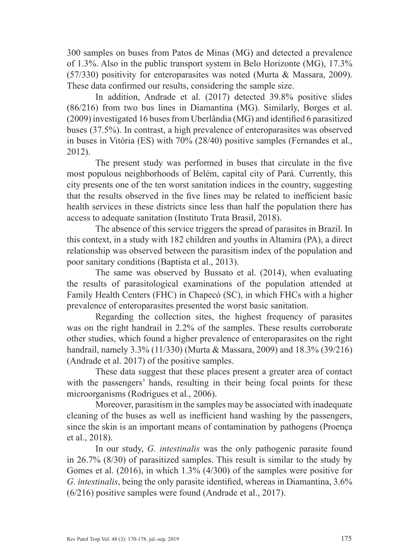300 samples on buses from Patos de Minas (MG) and detected a prevalence of 1.3%. Also in the public transport system in Belo Horizonte (MG), 17.3% (57/330) positivity for enteroparasites was noted (Murta & Massara, 2009). These data confirmed our results, considering the sample size.

In addition, Andrade et al. (2017) detected 39.8% positive slides (86/216) from two bus lines in Diamantina (MG). Similarly, Borges et al. (2009) investigated 16 buses from Uberlândia (MG) and identified 6 parasitized buses (37.5%). In contrast, a high prevalence of enteroparasites was observed in buses in Vitória (ES) with 70% (28/40) positive samples (Fernandes et al., 2012).

The present study was performed in buses that circulate in the five most populous neighborhoods of Belém, capital city of Pará. Currently, this city presents one of the ten worst sanitation indices in the country, suggesting that the results observed in the five lines may be related to inefficient basic health services in these districts since less than half the population there has access to adequate sanitation (Instituto Trata Brasil, 2018).

The absence of this service triggers the spread of parasites in Brazil. In this context, in a study with 182 children and youths in Altamira (PA), a direct relationship was observed between the parasitism index of the population and poor sanitary conditions (Baptista et al., 2013).

The same was observed by Bussato et al. (2014), when evaluating the results of parasitological examinations of the population attended at Family Health Centers (FHC) in Chapecó (SC), in which FHCs with a higher prevalence of enteroparasites presented the worst basic sanitation.

Regarding the collection sites, the highest frequency of parasites was on the right handrail in 2.2% of the samples. These results corroborate other studies, which found a higher prevalence of enteroparasites on the right handrail, namely 3.3% (11/330) (Murta & Massara, 2009) and 18.3% (39/216) (Andrade et al. 2017) of the positive samples.

These data suggest that these places present a greater area of contact with the passengers' hands, resulting in their being focal points for these microorganisms (Rodrigues et al., 2006).

Moreover, parasitism in the samples may be associated with inadequate cleaning of the buses as well as inefficient hand washing by the passengers, since the skin is an important means of contamination by pathogens (Proença et al., 2018).

In our study, *G. intestinalis* was the only pathogenic parasite found in 26.7% (8/30) of parasitized samples. This result is similar to the study by Gomes et al. (2016), in which 1.3% (4/300) of the samples were positive for *G. intestinalis*, being the only parasite identified, whereas in Diamantina, 3.6% (6/216) positive samples were found (Andrade et al., 2017).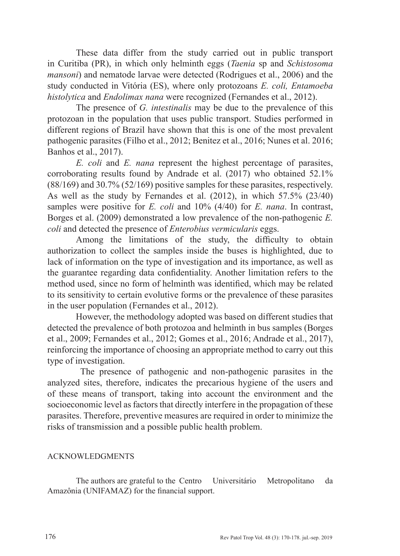These data differ from the study carried out in public transport in Curitiba (PR), in which only helminth eggs (*Taenia* sp and *Schistosoma mansoni*) and nematode larvae were detected (Rodrigues et al., 2006) and the study conducted in Vitória (ES), where only protozoans *E. coli, Entamoeba histolytica* and *Endolimax nana* were recognized (Fernandes et al., 2012).

The presence of *G. intestinalis* may be due to the prevalence of this protozoan in the population that uses public transport. Studies performed in different regions of Brazil have shown that this is one of the most prevalent pathogenic parasites (Filho et al., 2012; Benitez et al., 2016; Nunes et al. 2016; Banhos et al., 2017).

*E. coli* and *E. nana* represent the highest percentage of parasites, corroborating results found by Andrade et al. (2017) who obtained 52.1% (88/169) and 30.7% (52/169) positive samples for these parasites, respectively. As well as the study by Fernandes et al. (2012), in which 57.5% (23/40) samples were positive for *E. coli* and 10% (4/40) for *E. nana*. In contrast, Borges et al. (2009) demonstrated a low prevalence of the non-pathogenic *E. coli* and detected the presence of *Enterobius vermicularis* eggs.

Among the limitations of the study, the difficulty to obtain authorization to collect the samples inside the buses is highlighted, due to lack of information on the type of investigation and its importance, as well as the guarantee regarding data confidentiality. Another limitation refers to the method used, since no form of helminth was identified, which may be related to its sensitivity to certain evolutive forms or the prevalence of these parasites in the user population (Fernandes et al., 2012).

However, the methodology adopted was based on different studies that detected the prevalence of both protozoa and helminth in bus samples (Borges et al., 2009; Fernandes et al., 2012; Gomes et al., 2016; Andrade et al., 2017), reinforcing the importance of choosing an appropriate method to carry out this type of investigation.

The presence of pathogenic and non-pathogenic parasites in the analyzed sites, therefore, indicates the precarious hygiene of the users and of these means of transport, taking into account the environment and the socioeconomic level as factors that directly interfere in the propagation of these parasites. Therefore, preventive measures are required in order to minimize the risks of transmission and a possible public health problem.

## ACKNOWLEDGMENTS

The authors are grateful to the Centro Universitário Metropolitano da Amazônia (UNIFAMAZ) for the financial support.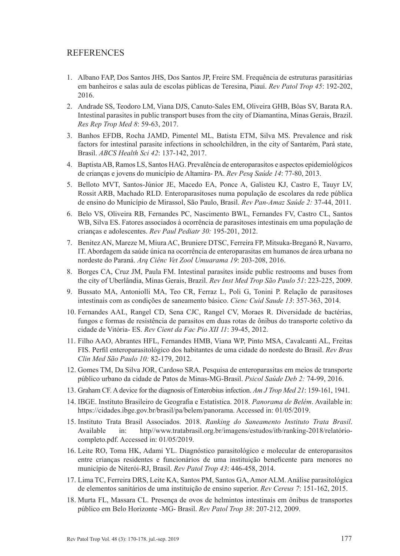#### **REFERENCES**

- 1. Albano FAP, Dos Santos JHS, Dos Santos JP, Freire SM. Frequência de estruturas parasitárias em banheiros e salas aula de escolas públicas de Teresina, Piauí. *Rev Patol Trop 45*: 192-202, 2016.
- 2. Andrade SS, Teodoro LM, Viana DJS, Canuto-Sales EM, Oliveira GHB, Bôas SV, Barata RA. Intestinal parasites in public transport buses from the city of Diamantina, Minas Gerais, Brazil. *Res Rep Trop Med 8*: 59-63, 2017.
- 3. Banhos EFDB, Rocha JAMD, Pimentel ML, Batista ETM, Silva MS. Prevalence and risk factors for intestinal parasite infections in schoolchildren, in the city of Santarém, Pará state, Brasil. *ABCS Health Sci 42*: 137-142, 2017.
- 4. Baptista AB, Ramos LS, Santos HAG. Prevalência de enteroparasitos e aspectos epidemiológicos de crianças e jovens do município de Altamira- PA. *Rev Pesq Saúde 14*: 77-80, 2013.
- 5. Belloto MVT, Santos-Júnior JE, Macedo EA, Ponce A, Galisteu KJ, Castro E, Tauyr LV, Rossit ARB, Machado RLD. Enteroparasitoses numa população de escolares da rede pública de ensino do Município de Mirassol, São Paulo, Brasil. *Rev Pan-Amaz Saúde 2:* 37-44, 2011.
- 6. Belo VS, Oliveira RB, Fernandes PC, Nascimento BWL, Fernandes FV, Castro CL, Santos WB, Silva ES. Fatores associados à ocorrência de parasitoses intestinais em uma população de crianças e adolescentes. *Rev Paul Pediatr 30:* 195-201, 2012.
- 7. Benitez AN, Mareze M, Miura AC, Bruniere DTSC, Ferreira FP, Mitsuka-Breganó R, Navarro, IT. Abordagem da saúde única na ocorrência de enteroparasitas em humanos de área urbana no nordeste do Paraná. *Arq Ciênc Vet Zool Umuarama 19*: 203-208, 2016.
- 8. Borges CA, Cruz JM, Paula FM. Intestinal parasites inside public restrooms and buses from the city of Uberlândia, Minas Gerais, Brazil. *Rev Inst Med Trop São Paulo 51*: 223-225, 2009.
- 9. Bussato MA, Antoniolli MA, Teo CR, Ferraz L, Poli G, Tonini P. Relação de parasitoses intestinais com as condições de saneamento básico. *Cienc Cuid Saude 13*: 357-363, 2014.
- 10. Fernandes AAL, Rangel CD, Sena CJC, Rangel CV, Moraes R. Diversidade de bactérias, fungos e formas de resistência de parasitos em duas rotas de ônibus do transporte coletivo da cidade de Vitória- ES. *Rev Cient da Fac Pio XII 11*: 39-45, 2012.
- 11. Filho AAO, Abrantes HFL, Fernandes HMB, Viana WP, Pinto MSA, Cavalcanti AL, Freitas FIS. Perfil enteroparasitológico dos habitantes de uma cidade do nordeste do Brasil. *Rev Bras Clin Med São Paulo 10:* 82-179, 2012.
- 12. Gomes TM, Da Silva JOR, Cardoso SRA. Pesquisa de enteroparasitas em meios de transporte público urbano da cidade de Patos de Minas-MG-Brasil. *Psicol Saúde Deb 2:* 74-99, 2016.
- 13. Graham CF. A device for the diagnosis of Enterobius infection. *Am J Trop Med 21*: 159-161, 1941.
- 14. IBGE. Instituto Brasileiro de Geografia e Estatística. 2018. *Panorama de Belém*. Available in: https://cidades.ibge.gov.br/brasil/pa/belem/panorama. Accessed in: 01/05/2019.
- 15. Instituto Trata Brasil Associados. 2018. *Ranking do Saneamento Instituto Trata Brasil*. Available in: http//www.tratabrasil.org.br/imagens/estudos/itb/ranking-2018/relatóriocompleto.pdf. Accessed in: 01/05/2019.
- 16. Leite RO, Toma HK, Adami YL. Diagnóstico parasitológico e molecular de enteroparasitos entre crianças residentes e funcionários de uma instituição beneficente para menores no município de Niterói-RJ, Brasil. *Rev Patol Trop 43*: 446-458, 2014.
- 17. Lima TC, Ferreira DRS, Leite KA, Santos PM, Santos GA, Amor ALM. Análise parasitológica de elementos sanitários de uma instituição de ensino superior. *Rev Cereus 7*: 151-162, 2015.
- 18. Murta FL, Massara CL. Presença de ovos de helmintos intestinais em ônibus de transportes público em Belo Horizonte -MG- Brasil. *Rev Patol Trop 38*: 207-212, 2009.